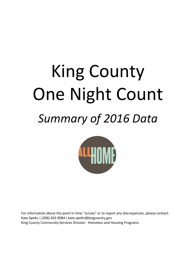# King County One Night Count *Summary of 2016 Data*

For information about the point in time "survey" or to report any discrepancies, please contact: Kate Speltz | (206) 263-9084 [| kate.speltz@kingcounty.gov](mailto:kate.speltz@kingcounty.gov) King County Community Services Division - Homeless and Housing Programs

<u>ALLU</u>IN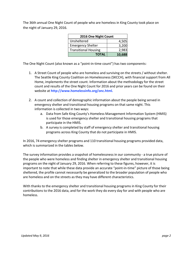The 36th annual One Night Count of people who are homeless in King County took place on the night of January 29, 2016.

| 2016 One Night Count        |       |  |  |  |
|-----------------------------|-------|--|--|--|
| Unsheltered                 | 4,505 |  |  |  |
| <b>Emergency Shelter</b>    | 3,200 |  |  |  |
| <b>Transitional Housing</b> | 2,983 |  |  |  |
| 10,688<br><b>TOTAL</b>      |       |  |  |  |

The One Night Count (also known as a "point-in-time count") has two components:

- 1. A Street Count of people who are homeless and surviving on the streets / without shelter. The Seattle King County Coalition on Homelessness (SKCCH), with financial support from All Home, implements the street count. Information about the methodology for the street count and results of the One Night Count for 2016 and prior years can be found on their website at **[http://www.homelessinfo.org/onc.html.](http://www.homelessinfo.org/onc.html)**
- 2. A count and collection of demographic information about the people being served in emergency shelter and transitional housing programs on that same night. This information is collected in two ways:
	- a. Data from Safe King County's Homeless Management Information System (HMIS) is used for those emergency shelter and transitional housing programs that participate in the HMIS.
	- b. A survey is completed by staff of emergency shelter and transitional housing programs across King County that do not participate in HMIS.

In 2016, 74 emergency shelter programs and 110 transitional housing programs provided data, which is summarized in the tables below.

The survey information provides a snapshot of homelessness in our community - a true picture of the people who were homeless and finding shelter in emergency shelter and transitional housing programs on the night of January 29, 2016. When referring to these figures, however, it is important to note that while these data provide an accurate "point-in-time" picture of those being sheltered, the profile cannot necessarily be generalized to the broader population of people who are homeless and on the streets as they may have different characteristics.

With thanks to the emergency shelter and transitional housing programs in King County for their contributions to the 2016 data, and for the work they do every day for and with people who are homeless.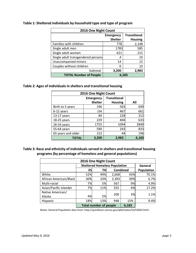| 2016 One Night Count                    |                |                |  |  |
|-----------------------------------------|----------------|----------------|--|--|
| <b>Transitional</b><br><b>Emergency</b> |                |                |  |  |
|                                         | <b>Shelter</b> | <b>Housing</b> |  |  |
| Families with children                  | 778            | 2,148          |  |  |
| Single adult men                        | 1783           | 585            |  |  |
| Single adult women                      | 621            | 215            |  |  |
| Single adult transgendered persons      | 4              | 10             |  |  |
| Unaccompanied minors                    | 14             | 15             |  |  |
| Couples without children                |                | 10             |  |  |
| Subtotal                                | 3,200          | 2,983          |  |  |
| <b>TOTAL Number of People</b>           |                | 6,183          |  |  |

## **Table 1: Sheltered individuals by household type and type of program**

#### **Table 2: Ages of individuals in shelters and transitional housing**

| 2016 One Night Count |                  |                     |       |  |  |
|----------------------|------------------|---------------------|-------|--|--|
|                      | <b>Emergency</b> | <b>Transitional</b> |       |  |  |
|                      | <b>Shelter</b>   | <b>Housing</b>      | All   |  |  |
| Birth to 5 years     | 196              | 503                 | 699   |  |  |
| 6-12 years           | 194              | 467                 | 661   |  |  |
| 13-17 years          | 84               | 228                 | 312   |  |  |
| 18-25 years          | 229              | 404                 | 633   |  |  |
| 26-54 years          | 1755             | 1094                | 2849  |  |  |
| 55-64 years          | 590              | 243                 | 833   |  |  |
| 65 years and older   | 152              | 44                  | 196   |  |  |
| <b>TOTAL</b>         | 3,200            | 2,983               | 6,183 |  |  |

**Table 3: Race and ethnicity of individuals served in shelters and transitional housing programs (by percentage of homeless and general populations)**

| 2016 One Night Count   |                                        |                       |       |     |         |
|------------------------|----------------------------------------|-----------------------|-------|-----|---------|
|                        | <b>Sheltered Homeless Population</b>   |                       |       |     | General |
|                        | ES                                     | <b>Combined</b><br>TН |       |     |         |
| White                  | 52%                                    | 49%                   | 2,668 | 43% | 70.1%   |
| African American/Black | 30%                                    | 33%                   | 2,393 | 39% | 6.7%    |
| Multi-racial           | 7%                                     | 5%                    | 567   | 9%  | 4.9%    |
| Asian/Pacific Islander | 7%                                     | 11%                   | 355   | 6%  | 17.2%   |
| Native American/       |                                        |                       | 200   | 3%  | 1.1%    |
| Alaska                 | 4%                                     | 2%                    |       |     |         |
| Hispanic               | 18%                                    | 13%                   | 948   | 15% | 9.4%    |
|                        | <b>Total number of people</b><br>6,183 |                       |       |     |         |

Notes: General Population data from: [http://quickfacts.census.gov/qfd/states/53/53033.html.](http://quickfacts.census.gov/qfd/states/53/53033.html)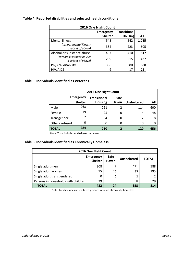# **Table 4: Reported disabilities and selected health conditions**

| 2016 One Night Count       |                  |                     |       |  |  |
|----------------------------|------------------|---------------------|-------|--|--|
|                            | <b>Emergency</b> | <b>Transitional</b> |       |  |  |
|                            | Shelter          | <b>Housing</b>      | All   |  |  |
| <b>Mental illness</b>      | 543              | 542                 | 1,085 |  |  |
| (serious mental illness:   | 382              | 223                 | 605   |  |  |
| a subset of above)         |                  |                     |       |  |  |
| Alcohol or substance abuse | 407              | 410                 | 817   |  |  |
| (chronic substance abuse:  | 209              | 215                 | 437   |  |  |
| a subset of above)         |                  |                     |       |  |  |
| Physical disability        | 308              | 380                 | 688   |  |  |
| <b>HIV/AIDS</b>            | 9                | 17                  | 26    |  |  |

#### **Table 5: Individualsidentified as Veterans**

| 2016 One Night Count |                  |                     |              |                    |     |
|----------------------|------------------|---------------------|--------------|--------------------|-----|
|                      | <b>Emergency</b> | <b>Transitional</b> | Safe         |                    |     |
|                      | <b>Shelter</b>   | <b>Housing</b>      | <b>Haven</b> | <b>Unsheltered</b> | All |
| Male                 | 263              | 221                 | 2            | 114                | 600 |
| Female               | 19               | 25                  | 0            | 4                  | 48  |
| Transgender          | 2                | 4                   | 0            | 2                  | 8   |
| Other/refused        |                  |                     | 0            | 0                  |     |
| <b>TOTAL</b>         | 284              | 250                 | 2            | 120                | 656 |

Note: Total includes unsheltered veterans.

## **Table 6: Individualsidentified as Chronically Homeless**

| 2016 One Night Count                |               |                    |       |     |  |
|-------------------------------------|---------------|--------------------|-------|-----|--|
| <b>Emergency</b>                    | Safe<br>Haven | <b>Unsheltered</b> | TOTAL |     |  |
| Single adult men                    | 308           | 9                  | 271   | 588 |  |
| Single adult women                  | 95            | 15                 | 85    | 195 |  |
| Single adult transgendered          |               | 0                  | 2     |     |  |
| Persons in households with children | 29            | 0                  | 0     | 29  |  |
| <b>TOTAL</b>                        | 432           | 24                 | 358   | 814 |  |

Note: Total includes unsheltered persons who are chronically homeless.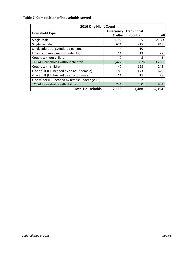## **Table 7: Composition of households served**

| 2016 One Night Count                         |                                    |                                       |                |  |  |
|----------------------------------------------|------------------------------------|---------------------------------------|----------------|--|--|
| <b>Household Type</b>                        | <b>Emergency</b><br><b>Shelter</b> | <b>Transitional</b><br><b>Housing</b> | All            |  |  |
| Single Male                                  | 1,783                              | 585                                   | 2,373          |  |  |
| Single Female                                | 621                                | 215                                   | 845            |  |  |
| Single adult transgendered persons           | 4                                  | 10                                    |                |  |  |
| Unaccompanied minor (under 18)               | 14                                 | 13                                    | 27             |  |  |
| Couple without children                      | 0                                  | 5                                     | 5              |  |  |
| <b>TOTAL Households without children</b>     | 2,422                              | 828                                   | 3,250          |  |  |
| Couple with children                         | 47                                 | 198                                   | 245            |  |  |
| One adult (HH headed by an adult female)     | 186                                | 443                                   | 629            |  |  |
| One adult (HH headed by an adult male)       | 11                                 | 17                                    | 28             |  |  |
| One minor (HH headed by female under age 18) | 0                                  | 2                                     | $\overline{2}$ |  |  |
| <b>TOTAL Households with children</b>        | 244                                | 660                                   | 904            |  |  |
| <b>Total Households</b>                      | 2,666                              | 1,488                                 | 4,154          |  |  |